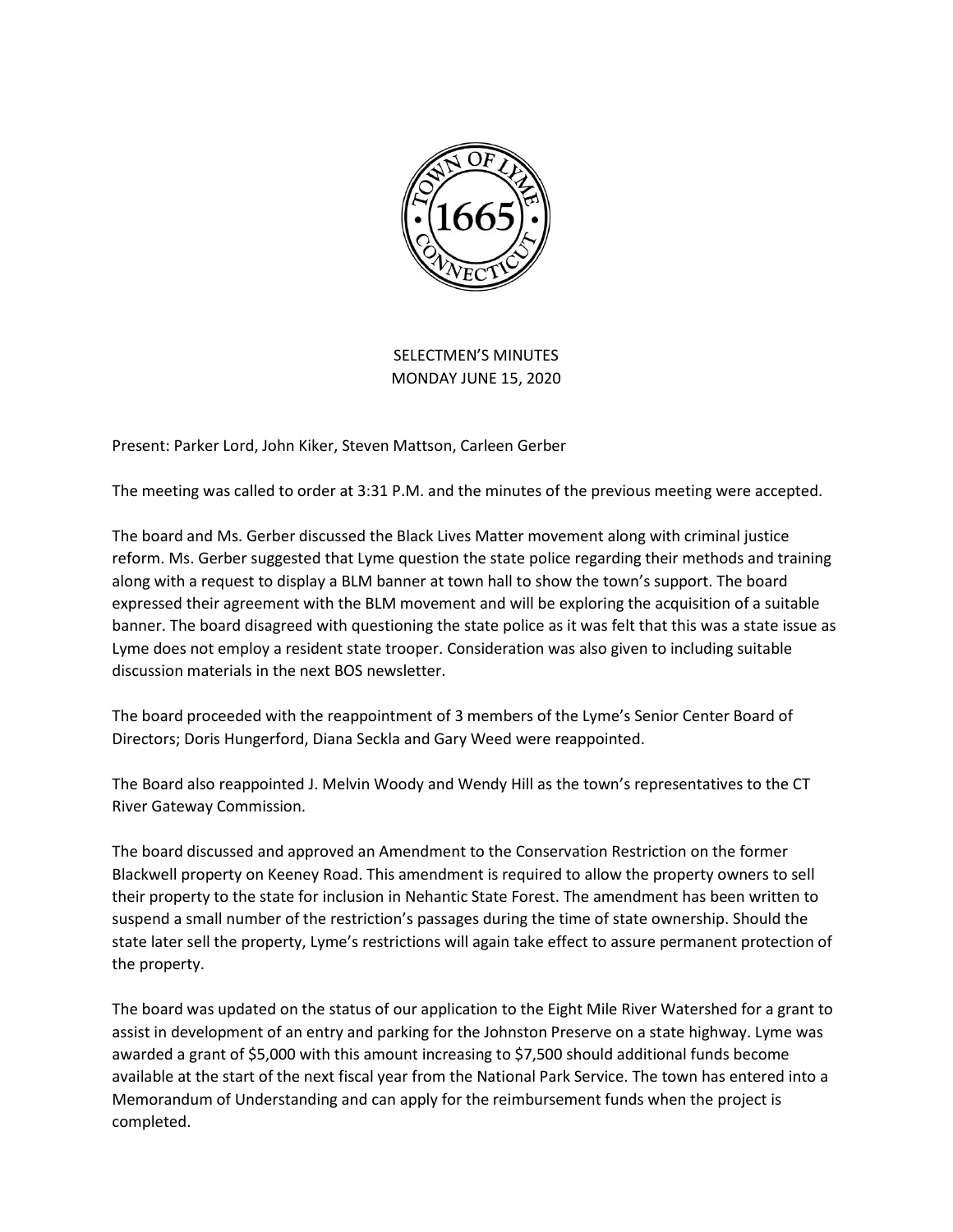

SELECTMEN'S MINUTES MONDAY JUNE 15, 2020

Present: Parker Lord, John Kiker, Steven Mattson, Carleen Gerber

The meeting was called to order at 3:31 P.M. and the minutes of the previous meeting were accepted.

The board and Ms. Gerber discussed the Black Lives Matter movement along with criminal justice reform. Ms. Gerber suggested that Lyme question the state police regarding their methods and training along with a request to display a BLM banner at town hall to show the town's support. The board expressed their agreement with the BLM movement and will be exploring the acquisition of a suitable banner. The board disagreed with questioning the state police as it was felt that this was a state issue as Lyme does not employ a resident state trooper. Consideration was also given to including suitable discussion materials in the next BOS newsletter.

The board proceeded with the reappointment of 3 members of the Lyme's Senior Center Board of Directors; Doris Hungerford, Diana Seckla and Gary Weed were reappointed.

The Board also reappointed J. Melvin Woody and Wendy Hill as the town's representatives to the CT River Gateway Commission.

The board discussed and approved an Amendment to the Conservation Restriction on the former Blackwell property on Keeney Road. This amendment is required to allow the property owners to sell their property to the state for inclusion in Nehantic State Forest. The amendment has been written to suspend a small number of the restriction's passages during the time of state ownership. Should the state later sell the property, Lyme's restrictions will again take effect to assure permanent protection of the property.

The board was updated on the status of our application to the Eight Mile River Watershed for a grant to assist in development of an entry and parking for the Johnston Preserve on a state highway. Lyme was awarded a grant of \$5,000 with this amount increasing to \$7,500 should additional funds become available at the start of the next fiscal year from the National Park Service. The town has entered into a Memorandum of Understanding and can apply for the reimbursement funds when the project is completed.